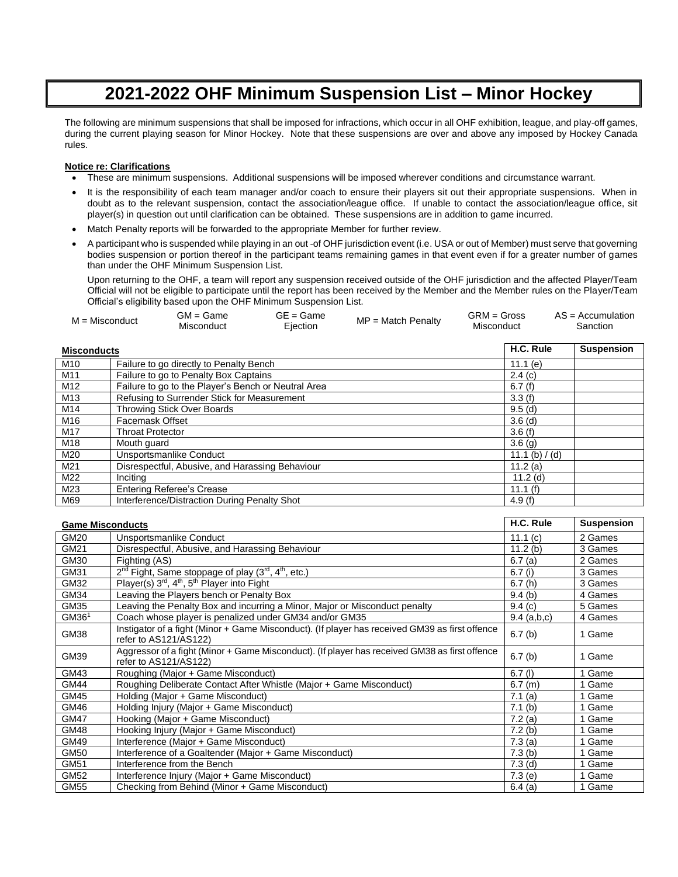## **2021-2022 OHF Minimum Suspension List – Minor Hockey**

The following are minimum suspensions that shall be imposed for infractions, which occur in all OHF exhibition, league, and play-off games, during the current playing season for Minor Hockey. Note that these suspensions are over and above any imposed by Hockey Canada rules.

## **Notice re: Clarifications**

- These are minimum suspensions. Additional suspensions will be imposed wherever conditions and circumstance warrant.
- It is the responsibility of each team manager and/or coach to ensure their players sit out their appropriate suspensions. When in doubt as to the relevant suspension, contact the association/league office. If unable to contact the association/league office, sit player(s) in question out until clarification can be obtained. These suspensions are in addition to game incurred.
- Match Penalty reports will be forwarded to the appropriate Member for further review.
- A participant who is suspended while playing in an out -of OHF jurisdiction event (i.e. USA or out of Member) must serve that governing bodies suspension or portion thereof in the participant teams remaining games in that event even if for a greater number of games than under the OHF Minimum Suspension List.

Upon returning to the OHF, a team will report any suspension received outside of the OHF jurisdiction and the affected Player/Team Official will not be eligible to participate until the report has been received by the Member and the Member rules on the Player/Team Official's eligibility based upon the OHF Minimum Suspension List.

| $M = Misconduct$   |                         | $GM = Game$<br>Misconduct                           | $GE = Game$<br>Ejection | $MP = Match Penalty$ | $GRM = Gross$<br>Misconduct |                  | $AS = Accumulation$<br>Sanction |  |
|--------------------|-------------------------|-----------------------------------------------------|-------------------------|----------------------|-----------------------------|------------------|---------------------------------|--|
| <b>Misconducts</b> |                         |                                                     |                         |                      |                             | H.C. Rule        | <b>Suspension</b>               |  |
| M10                |                         | Failure to go directly to Penalty Bench             |                         |                      |                             | 11.1 $(e)$       |                                 |  |
| M11                |                         | Failure to go to Penalty Box Captains               |                         |                      |                             | 2.4(c)           |                                 |  |
| M12                |                         | Failure to go to the Player's Bench or Neutral Area |                         |                      |                             | 6.7(f)           |                                 |  |
| M13                |                         | Refusing to Surrender Stick for Measurement         |                         |                      |                             | 3.3(f)           |                                 |  |
| M14                |                         | Throwing Stick Over Boards                          |                         |                      |                             | 9.5(d)           |                                 |  |
| M16                | <b>Facemask Offset</b>  |                                                     |                         |                      |                             | $3.6$ (d)        |                                 |  |
| M17                | <b>Throat Protector</b> |                                                     |                         |                      |                             | 3.6(f)           |                                 |  |
| M18                | Mouth guard             |                                                     |                         |                      |                             | 3.6(g)           |                                 |  |
| M20                |                         | Unsportsmanlike Conduct                             |                         |                      |                             | 11.1 (b) $/$ (d) |                                 |  |
| M21                |                         | Disrespectful, Abusive, and Harassing Behaviour     |                         |                      |                             | 11.2 $(a)$       |                                 |  |
| M22                | Inciting                |                                                     |                         |                      |                             | 11.2(d)          |                                 |  |
| M23                |                         | <b>Entering Referee's Crease</b>                    |                         |                      |                             | 11.1 $(f)$       |                                 |  |
| M69                |                         | Interference/Distraction During Penalty Shot        |                         |                      |                             | 4.9 $(f)$        |                                 |  |

| <b>Game Misconducts</b> |                                                                                                                         | H.C. Rule          | <b>Suspension</b> |
|-------------------------|-------------------------------------------------------------------------------------------------------------------------|--------------------|-------------------|
| GM20                    | Unsportsmanlike Conduct                                                                                                 | 11.1(c)            | 2 Games           |
| GM21                    | Disrespectful, Abusive, and Harassing Behaviour                                                                         | 11.2(b)            | 3 Games           |
| GM30                    | Fighting (AS)                                                                                                           | 6.7(a)             | 2 Games           |
| GM31                    | 2 <sup>nd</sup> Fight, Same stoppage of play (3 <sup>rd</sup> , 4 <sup>th</sup> , etc.)                                 | 6.7(i)             | 3 Games           |
| GM32                    | Player(s) $3^{rd}$ , $4^{th}$ , $5^{th}$ Player into Fight                                                              | 6.7(h)             | 3 Games           |
| GM34                    | Leaving the Players bench or Penalty Box                                                                                | 9.4(b)             | 4 Games           |
| GM35                    | Leaving the Penalty Box and incurring a Minor, Major or Misconduct penalty                                              | 9.4(c)             | 5 Games           |
| GM36 <sup>1</sup>       | Coach whose player is penalized under GM34 and/or GM35                                                                  | 9.4 (a,b,c)        | 4 Games           |
| GM38                    | Instigator of a fight (Minor + Game Misconduct). (If player has received GM39 as first offence<br>refer to AS121/AS122) | 6.7(b)             | 1 Game            |
| GM39                    | Aggressor of a fight (Minor + Game Misconduct). (If player has received GM38 as first offence<br>refer to AS121/AS122)  | 6.7(b)             | 1 Game            |
| GM43                    | Roughing (Major + Game Misconduct)                                                                                      | $6.7$ (l)          | 1 Game            |
| <b>GM44</b>             | Roughing Deliberate Contact After Whistle (Major + Game Misconduct)                                                     | 6.7(m)             | 1 Game            |
| <b>GM45</b>             | Holding (Major + Game Misconduct)                                                                                       | 7.1(a)             | 1 Game            |
| GM46                    | Holding Injury (Major + Game Misconduct)                                                                                | 7.1 <sub>(b)</sub> | 1 Game            |
| <b>GM47</b>             | Hooking (Major + Game Misconduct)                                                                                       | 7.2(a)             | 1 Game            |
| GM48                    | Hooking Injury (Major + Game Misconduct)                                                                                | 7.2(b)             | 1 Game            |
| GM49                    | Interference (Major + Game Misconduct)                                                                                  | 7.3(a)             | 1 Game            |
| GM50                    | Interference of a Goaltender (Major + Game Misconduct)                                                                  | 7.3(b)             | 1 Game            |
| GM51                    | Interference from the Bench                                                                                             | 7.3 <sub>(d)</sub> | 1 Game            |
| <b>GM52</b>             | Interference Injury (Major + Game Misconduct)                                                                           | 7.3(e)             | 1 Game            |
| GM55                    | Checking from Behind (Minor + Game Misconduct)                                                                          | 6.4(a)             | 1 Game            |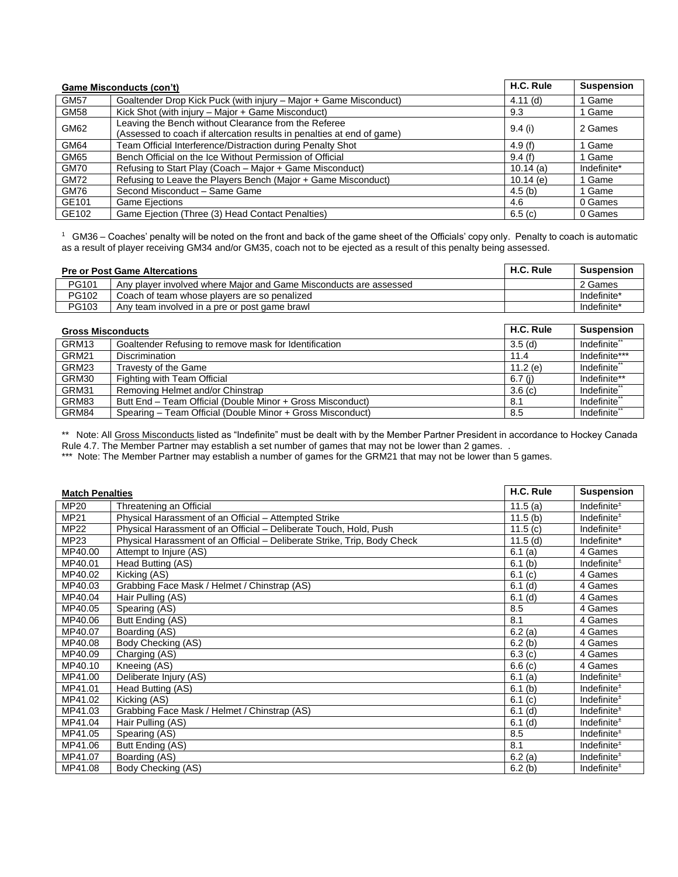| Game Misconducts (con't) |                                                                                                                                | H.C. Rule   | <b>Suspension</b> |
|--------------------------|--------------------------------------------------------------------------------------------------------------------------------|-------------|-------------------|
| <b>GM57</b>              | Goaltender Drop Kick Puck (with injury - Major + Game Misconduct)                                                              | 4.11(d)     | 1 Game            |
| <b>GM58</b>              | Kick Shot (with injury - Major + Game Misconduct)                                                                              | 9.3         | 1 Game            |
| GM62                     | Leaving the Bench without Clearance from the Referee<br>(Assessed to coach if altercation results in penalties at end of game) | 9.4(i)      | 2 Games           |
| GM64                     | Team Official Interference/Distraction during Penalty Shot                                                                     | 4.9 $(f)$   | 1 Game            |
| GM65                     | Bench Official on the Ice Without Permission of Official                                                                       | 9.4(f)      | 1 Game            |
| <b>GM70</b>              | Refusing to Start Play (Coach – Major + Game Misconduct)                                                                       | $10.14$ (a) | Indefinite*       |
| <b>GM72</b>              | Refusing to Leave the Players Bench (Major + Game Misconduct)                                                                  | 10.14 $(e)$ | 1 Game            |
| GM76                     | Second Misconduct - Same Game                                                                                                  | 4.5(b)      | 1 Game            |
| GE101                    | <b>Game Ejections</b>                                                                                                          | 4.6         | 0 Games           |
| GE102                    | Game Ejection (Three (3) Head Contact Penalties)                                                                               | 6.5(c)      | 0 Games           |

 $1$  GM36 – Coaches' penalty will be noted on the front and back of the game sheet of the Officials' copy only. Penalty to coach is automatic as a result of player receiving GM34 and/or GM35, coach not to be ejected as a result of this penalty being assessed.

| <b>Pre or Post Game Altercations</b> |                                                                   |            | <b>Suspension</b>       |  |  |  |  |
|--------------------------------------|-------------------------------------------------------------------|------------|-------------------------|--|--|--|--|
| PG101                                | Any player involved where Major and Game Misconducts are assessed |            | 2 Games                 |  |  |  |  |
| PG102                                | Coach of team whose players are so penalized                      |            | Indefinite*             |  |  |  |  |
| PG103                                | Any team involved in a pre or post game brawl                     |            | Indefinite*             |  |  |  |  |
|                                      |                                                                   |            |                         |  |  |  |  |
| <b>Gross Misconducts</b>             |                                                                   | H.C. Rule  | <b>Suspension</b>       |  |  |  |  |
| GRM13                                | Goaltender Refusing to remove mask for Identification             | 3.5(d)     | Indefinite <sup>*</sup> |  |  |  |  |
| GRM21                                | <b>Discrimination</b>                                             | 11.4       | Indefinite***           |  |  |  |  |
| GRM23                                | Travesty of the Game                                              | 11.2 $(e)$ | Indefinite <sup>*</sup> |  |  |  |  |
| GRM30                                | Fighting with Team Official                                       | 6.7 (j)    | Indefinite**            |  |  |  |  |
| GRM31                                | Removing Helmet and/or Chinstrap                                  | 3.6(c)     | Indefinite <sup>*</sup> |  |  |  |  |
| GRM83                                | Butt End - Team Official (Double Minor + Gross Misconduct)        | 8.1        | Indefinite <sup>*</sup> |  |  |  |  |

\*\* Note: All Gross Misconducts listed as "Indefinite" must be dealt with by the Member Partner President in accordance to Hockey Canada Rule 4.7. The Member Partner may establish a set number of games that may not be lower than 2 games. .

GRM84 Spearing – Team Official (Double Minor + Gross Misconduct) 8.5 Indefinite

\*\*\* Note: The Member Partner may establish a number of games for the GRM21 that may not be lower than 5 games.

| <b>Match Penalties</b> |                                                                          | H.C. Rule  | <b>Suspension</b>       |
|------------------------|--------------------------------------------------------------------------|------------|-------------------------|
| <b>MP20</b>            | Threatening an Official                                                  | 11.5 $(a)$ | Indefinite <sup>+</sup> |
| <b>MP21</b>            | Physical Harassment of an Official - Attempted Strike                    | 11.5(b)    | Indefinite <sup>±</sup> |
| <b>MP22</b>            | Physical Harassment of an Official – Deliberate Touch, Hold, Push        | 11.5 $(c)$ | Indefinite <sup>±</sup> |
| <b>MP23</b>            | Physical Harassment of an Official - Deliberate Strike, Trip, Body Check | 11.5(d)    | Indefinite*             |
| MP40.00                | Attempt to Injure (AS)                                                   | 6.1(a)     | 4 Games                 |
| MP40.01                | Head Butting (AS)                                                        | 6.1(b)     | Indefinite <sup>±</sup> |
| MP40.02                | Kicking (AS)                                                             | 6.1(c)     | 4 Games                 |
| MP40.03                | Grabbing Face Mask / Helmet / Chinstrap (AS)                             | $6.1$ (d)  | 4 Games                 |
| MP40.04                | Hair Pulling (AS)                                                        | $6.1$ (d)  | 4 Games                 |
| MP40.05                | Spearing (AS)                                                            | 8.5        | 4 Games                 |
| MP40.06                | Butt Ending (AS)                                                         | 8.1        | 4 Games                 |
| MP40.07                | Boarding (AS)                                                            | 6.2(a)     | 4 Games                 |
| MP40.08                | Body Checking (AS)                                                       | 6.2(b)     | 4 Games                 |
| MP40.09                | Charging (AS)                                                            | 6.3(c)     | 4 Games                 |
| MP40.10                | Kneeing (AS)                                                             | 6.6(c)     | 4 Games                 |
| MP41.00                | Deliberate Injury (AS)                                                   | 6.1(a)     | Indefinite <sup>±</sup> |
| MP41.01                | Head Butting (AS)                                                        | 6.1(b)     | Indefinite <sup>±</sup> |
| MP41.02                | Kicking (AS)                                                             | 6.1(c)     | Indefinite $*$          |
| MP41.03                | Grabbing Face Mask / Helmet / Chinstrap (AS)                             | $6.1$ (d)  | Indefinite <sup>±</sup> |
| MP41.04                | Hair Pulling (AS)                                                        | $6.1$ (d)  | Indefinite <sup>±</sup> |
| MP41.05                | Spearing (AS)                                                            | 8.5        | Indefinite $*$          |
| MP41.06                | Butt Ending (AS)                                                         | 8.1        | Indefinite <sup>±</sup> |
| MP41.07                | Boarding (AS)                                                            | 6.2(a)     | Indefinite $±$          |
| MP41.08                | Body Checking (AS)                                                       | 6.2(b)     | Indefinite <sup>±</sup> |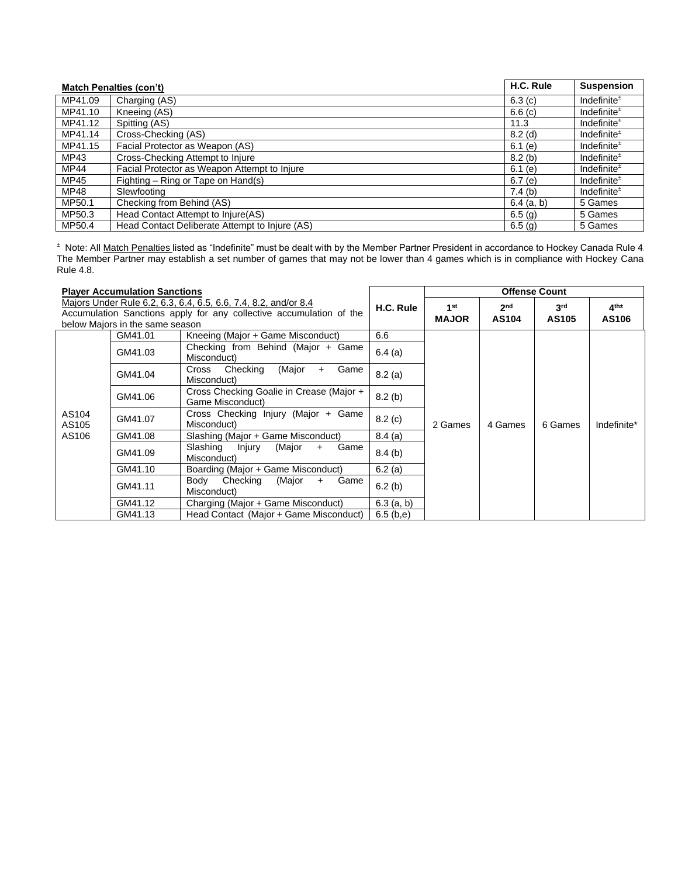| <b>Match Penalties (con't)</b> |                                                | H.C. Rule          | <b>Suspension</b> |
|--------------------------------|------------------------------------------------|--------------------|-------------------|
| MP41.09                        | Charging (AS)                                  | 6.3(c)             | Indefinite $*$    |
| MP41.10                        | Kneeing (AS)                                   | 6.6(c)             | Indefinite $*$    |
| MP41.12                        | Spitting (AS)                                  | 11.3               | Indefinite $±$    |
| MP41.14                        | Cross-Checking (AS)                            | $8.2$ (d)          | Indefinite $±$    |
| MP41.15                        | Facial Protector as Weapon (AS)                | 6.1(e)             | Indefinite $*$    |
| MP43                           | Cross-Checking Attempt to Injure               | 8.2(b)             | Indefinite $*$    |
| MP44                           | Facial Protector as Weapon Attempt to Injure   | 6.1(e)             | Indefinite $±$    |
| MP45                           | Fighting – Ring or Tape on Hand(s)             | 6.7(e)             | Indefinite $±$    |
| MP48                           | Slewfooting                                    | 7.4(b)             | Indefinite $*$    |
| MP50.1                         | Checking from Behind (AS)                      | $6.4$ (a, b)       | 5 Games           |
| MP50.3                         | Head Contact Attempt to Injure(AS)             | 6.5(g)             | 5 Games           |
| MP50.4                         | Head Contact Deliberate Attempt to Injure (AS) | 6.5 <sub>(q)</sub> | 5 Games           |

<sup>±</sup> Note: All Match Penalties listed as "Indefinite" must be dealt with by the Member Partner President in accordance to Hockey Canada Rule 4. The Member Partner may establish a set number of games that may not be lower than 4 games which is in compliance with Hockey Cana Rule 4.8.

| <b>Player Accumulation Sanctions</b> |                                 |                                                                                                                                        |              | <b>Offense Count</b>            |                                 |                          |                             |
|--------------------------------------|---------------------------------|----------------------------------------------------------------------------------------------------------------------------------------|--------------|---------------------------------|---------------------------------|--------------------------|-----------------------------|
|                                      | below Majors in the same season | Majors Under Rule 6.2, 6.3, 6.4, 6.5, 6.6, 7.4, 8.2, and/or 8.4<br>Accumulation Sanctions apply for any collective accumulation of the | H.C. Rule    | 1 <sup>st</sup><br><b>MAJOR</b> | 2 <sub>nd</sub><br><b>AS104</b> | 3 <sup>rd</sup><br>AS105 | $4^{\text{th}\pm}$<br>AS106 |
|                                      | GM41.01                         | Kneeing (Major + Game Misconduct)                                                                                                      | 6.6          |                                 |                                 |                          |                             |
|                                      | GM41.03                         | Checking from Behind (Major + Game<br>Misconduct)                                                                                      | 6.4(a)       |                                 |                                 |                          |                             |
|                                      | GM41.04                         | Checking<br>(Major<br>Game<br>Cross<br>$+$<br>Misconduct)                                                                              | 8.2(a)       | 2 Games<br>4 Games              |                                 |                          |                             |
|                                      | GM41.06                         | Cross Checking Goalie in Crease (Major +<br>Game Misconduct)                                                                           | 8.2(b)       |                                 |                                 |                          |                             |
| AS104<br>AS105                       | GM41.07                         | Cross Checking Injury (Major + Game<br>Misconduct)                                                                                     | 8.2(c)       |                                 |                                 | 6 Games                  | Indefinite*                 |
| AS106                                | GM41.08                         | Slashing (Major + Game Misconduct)                                                                                                     | 8.4(a)       |                                 |                                 |                          |                             |
|                                      | GM41.09                         | Slashing<br>Injury<br>(Major<br>Game<br>$\ddot{}$<br>Misconduct)                                                                       | 8.4(b)       |                                 |                                 |                          |                             |
|                                      | GM41.10                         | Boarding (Major + Game Misconduct)                                                                                                     | 6.2(a)       |                                 |                                 |                          |                             |
|                                      | GM41.11                         | Checking<br>Body<br>(Major<br>Game<br>$+$<br>Misconduct)                                                                               | 6.2(b)       |                                 |                                 |                          |                             |
|                                      | GM41.12                         | Charging (Major + Game Misconduct)                                                                                                     | $6.3$ (a, b) |                                 |                                 |                          |                             |
|                                      | GM41.13                         | Head Contact (Major + Game Misconduct)                                                                                                 | 6.5(b,e)     |                                 |                                 |                          |                             |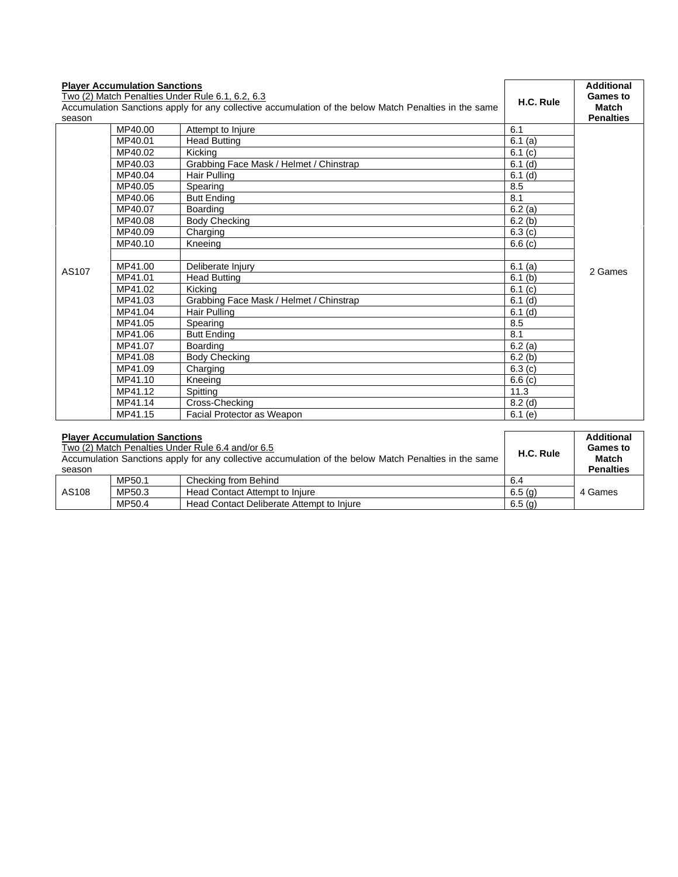| season | <b>Player Accumulation Sanctions</b><br>Two (2) Match Penalties Under Rule 6.1, 6.2, 6.3<br>Accumulation Sanctions apply for any collective accumulation of the below Match Penalties in the same | H.C. Rule                               | <b>Additional</b><br><b>Games to</b><br><b>Match</b><br><b>Penalties</b> |         |
|--------|---------------------------------------------------------------------------------------------------------------------------------------------------------------------------------------------------|-----------------------------------------|--------------------------------------------------------------------------|---------|
|        | MP40.00                                                                                                                                                                                           | Attempt to Injure                       | 6.1                                                                      |         |
|        | MP40.01                                                                                                                                                                                           | <b>Head Butting</b>                     | 6.1(a)                                                                   |         |
|        | MP40.02                                                                                                                                                                                           | Kicking                                 | 6.1(c)                                                                   |         |
|        | MP40.03                                                                                                                                                                                           | Grabbing Face Mask / Helmet / Chinstrap | $6.1$ (d)                                                                |         |
|        | MP40.04                                                                                                                                                                                           | Hair Pulling                            | $6.1$ (d)                                                                |         |
|        | MP40.05                                                                                                                                                                                           | Spearing                                | 8.5                                                                      |         |
|        | MP40.06                                                                                                                                                                                           | <b>Butt Ending</b>                      | 8.1                                                                      |         |
|        | MP40.07                                                                                                                                                                                           | Boarding                                | 6.2(a)                                                                   |         |
|        | MP40.08                                                                                                                                                                                           | <b>Body Checking</b>                    | 6.2(b)                                                                   | 2 Games |
|        | MP40.09                                                                                                                                                                                           | Charging                                | 6.3(c)                                                                   |         |
|        | MP40.10                                                                                                                                                                                           | Kneeina                                 | 6.6(c)                                                                   |         |
|        |                                                                                                                                                                                                   |                                         |                                                                          |         |
| AS107  | MP41.00                                                                                                                                                                                           | Deliberate Injury                       | 6.1(a)                                                                   |         |
|        | MP41.01                                                                                                                                                                                           | <b>Head Butting</b>                     | $6.1$ (b)                                                                |         |
|        | MP41.02                                                                                                                                                                                           | Kicking                                 | 6.1 (c)                                                                  |         |
|        | MP41.03                                                                                                                                                                                           | Grabbing Face Mask / Helmet / Chinstrap | $6.1$ (d)                                                                |         |
|        | MP41.04                                                                                                                                                                                           | Hair Pulling                            | $6.1$ (d)                                                                |         |
|        | MP41.05                                                                                                                                                                                           | Spearing                                | 8.5                                                                      |         |
|        | MP41.06                                                                                                                                                                                           | <b>Butt Ending</b>                      | 8.1                                                                      |         |
|        | MP41.07                                                                                                                                                                                           | Boarding                                | 6.2(a)                                                                   |         |
|        | MP41.08                                                                                                                                                                                           | <b>Body Checking</b>                    | 6.2(b)                                                                   |         |
|        | MP41.09                                                                                                                                                                                           | Charging                                | 6.3(c)                                                                   |         |
|        | MP41.10                                                                                                                                                                                           | Kneeing                                 | 6.6(c)                                                                   |         |
|        | MP41.12                                                                                                                                                                                           | Spitting                                | 11.3                                                                     |         |
|        | MP41.14                                                                                                                                                                                           | Cross-Checking                          | $8.2$ (d)                                                                |         |
|        | MP41.15                                                                                                                                                                                           | Facial Protector as Weapon              | 6.1(e)                                                                   |         |

|        | <b>Player Accumulation Sanctions</b>                                                                  |                                           | Additional |                  |
|--------|-------------------------------------------------------------------------------------------------------|-------------------------------------------|------------|------------------|
|        | Two (2) Match Penalties Under Rule 6.4 and/or 6.5                                                     | H.C. Rule                                 | Games to   |                  |
|        | Accumulation Sanctions apply for any collective accumulation of the below Match Penalties in the same |                                           |            | Match            |
| season |                                                                                                       |                                           |            | <b>Penalties</b> |
|        | MP50.1                                                                                                | Checking from Behind                      | 6.4        |                  |
| AS108  | MP50.3                                                                                                | Head Contact Attempt to Injure            | 6.5(g)     | 4 Games          |
|        | MP50.4                                                                                                | Head Contact Deliberate Attempt to Injure | 6.5(g)     |                  |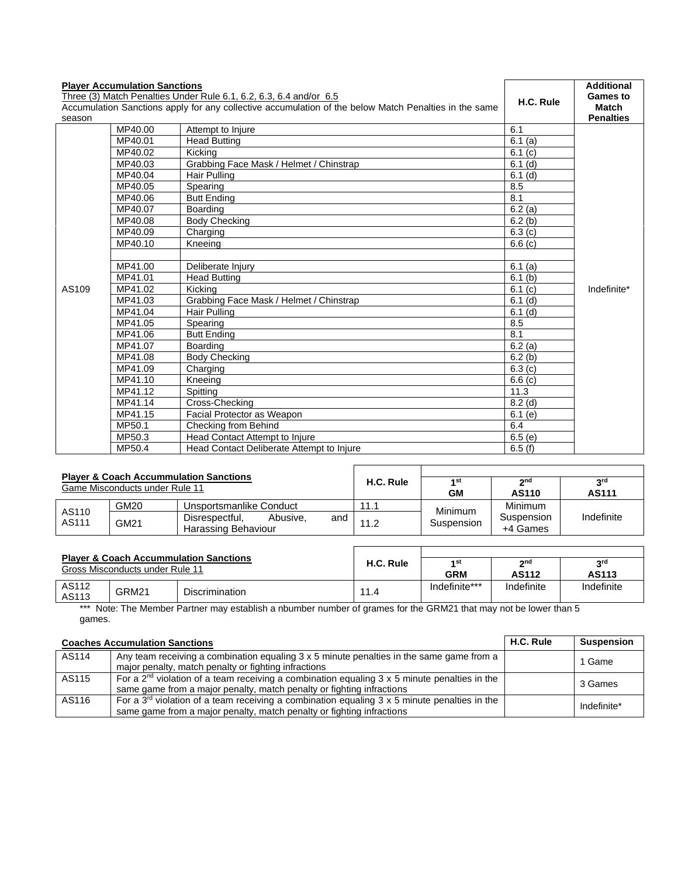| <b>Player Accumulation Sanctions</b><br>Three (3) Match Penalties Under Rule 6.1, 6.2, 6.3, 6.4 and/or 6.5<br>Accumulation Sanctions apply for any collective accumulation of the below Match Penalties in the same<br>season |         |                                           | H.C. Rule | <b>Additional</b><br><b>Games to</b><br>Match<br><b>Penalties</b> |
|-------------------------------------------------------------------------------------------------------------------------------------------------------------------------------------------------------------------------------|---------|-------------------------------------------|-----------|-------------------------------------------------------------------|
|                                                                                                                                                                                                                               | MP40.00 | Attempt to Injure                         | 6.1       |                                                                   |
|                                                                                                                                                                                                                               | MP40.01 | <b>Head Butting</b>                       | 6.1(a)    |                                                                   |
|                                                                                                                                                                                                                               | MP40.02 | Kicking                                   | 6.1(c)    |                                                                   |
|                                                                                                                                                                                                                               | MP40.03 | Grabbing Face Mask / Helmet / Chinstrap   | $6.1$ (d) |                                                                   |
|                                                                                                                                                                                                                               | MP40.04 | Hair Pulling                              | $6.1$ (d) |                                                                   |
|                                                                                                                                                                                                                               | MP40.05 | Spearing                                  | 8.5       |                                                                   |
|                                                                                                                                                                                                                               | MP40.06 | <b>Butt Ending</b>                        | 8.1       |                                                                   |
|                                                                                                                                                                                                                               | MP40.07 | Boarding                                  | 6.2(a)    |                                                                   |
|                                                                                                                                                                                                                               | MP40.08 | <b>Body Checking</b>                      | 6.2(b)    |                                                                   |
|                                                                                                                                                                                                                               | MP40.09 | Charging                                  | 6.3(c)    |                                                                   |
|                                                                                                                                                                                                                               | MP40.10 | Kneeing                                   | 6.6(c)    |                                                                   |
|                                                                                                                                                                                                                               |         |                                           |           |                                                                   |
|                                                                                                                                                                                                                               | MP41.00 | Deliberate Injury                         | 6.1(a)    |                                                                   |
|                                                                                                                                                                                                                               | MP41.01 | <b>Head Butting</b>                       | 6.1(b)    | Indefinite*                                                       |
| AS109                                                                                                                                                                                                                         | MP41.02 | Kicking                                   | 6.1(c)    |                                                                   |
|                                                                                                                                                                                                                               | MP41.03 | Grabbing Face Mask / Helmet / Chinstrap   | $6.1$ (d) |                                                                   |
|                                                                                                                                                                                                                               | MP41.04 | Hair Pulling                              | $6.1$ (d) |                                                                   |
|                                                                                                                                                                                                                               | MP41.05 | Spearing                                  | 8.5       |                                                                   |
|                                                                                                                                                                                                                               | MP41.06 | <b>Butt Ending</b>                        | 8.1       |                                                                   |
|                                                                                                                                                                                                                               | MP41.07 | Boarding                                  | 6.2(a)    |                                                                   |
|                                                                                                                                                                                                                               | MP41.08 | <b>Body Checking</b>                      | 6.2(b)    |                                                                   |
|                                                                                                                                                                                                                               | MP41.09 | Charging                                  | 6.3(c)    |                                                                   |
|                                                                                                                                                                                                                               | MP41.10 | Kneeing                                   | 6.6(c)    |                                                                   |
|                                                                                                                                                                                                                               | MP41.12 | Spitting                                  | 11.3      |                                                                   |
|                                                                                                                                                                                                                               | MP41.14 | Cross-Checking                            | $8.2$ (d) |                                                                   |
|                                                                                                                                                                                                                               | MP41.15 | Facial Protector as Weapon                | 6.1(e)    |                                                                   |
|                                                                                                                                                                                                                               | MP50.1  | Checking from Behind                      | 6.4       |                                                                   |
|                                                                                                                                                                                                                               | MP50.3  | <b>Head Contact Attempt to Injure</b>     | 6.5(e)    |                                                                   |
|                                                                                                                                                                                                                               | MP50.4  | Head Contact Deliberate Attempt to Injure | 6.5(f)    |                                                                   |

| <b>Player &amp; Coach Accummulation Sanctions</b><br>Game Misconducts under Rule 11 |      |                                                          | H.C. Rule | 1st<br>GМ  | 2 <sub>nd</sub><br>AS110 | <b>Qrd</b><br>AS111 |
|-------------------------------------------------------------------------------------|------|----------------------------------------------------------|-----------|------------|--------------------------|---------------------|
| AS110<br>AS111                                                                      | GM20 | Unsportsmanlike Conduct                                  | 11.1      | Minimum    | Minimum                  |                     |
|                                                                                     | GM21 | Disrespectful.<br>Abusive.<br>and<br>Harassing Behaviour | 11.2      | Suspension | Suspension<br>+4 Games   | Indefinite          |

| <b>Player &amp; Coach Accummulation Sanctions</b><br>Gross Misconducts under Rule 11 |       |                       | H.C. Rule | 1st<br><b>GRM</b> | 2 <sub>nd</sub><br><b>AS112</b> | 2rd<br>AS113 |
|--------------------------------------------------------------------------------------|-------|-----------------------|-----------|-------------------|---------------------------------|--------------|
|                                                                                      |       |                       |           |                   |                                 |              |
| AS112<br>AS113                                                                       | GRM21 | <b>Discrimination</b> | 11.4      | Indefinite***     | Indefinite                      | Indefinite   |

\*\*\* Note: The Member Partner may establish a nbumber number of grames for the GRM21 that may not be lower than 5 games.

| <b>Coaches Accumulation Sanctions</b> |                                                                                                                                                                                   |  | <b>Suspension</b> |
|---------------------------------------|-----------------------------------------------------------------------------------------------------------------------------------------------------------------------------------|--|-------------------|
| AS114                                 | Any team receiving a combination equaling 3 x 5 minute penalties in the same game from a<br>major penalty, match penalty or fighting infractions                                  |  | 1 Game            |
| AS115                                 | For a 2 <sup>nd</sup> violation of a team receiving a combination equaling 3 x 5 minute penalties in the<br>same game from a major penalty, match penalty or fighting infractions |  | 3 Games           |
| AS116                                 | For a 3 <sup>rd</sup> violation of a team receiving a combination equaling 3 x 5 minute penalties in the<br>same game from a major penalty, match penalty or fighting infractions |  | Indefinite*       |